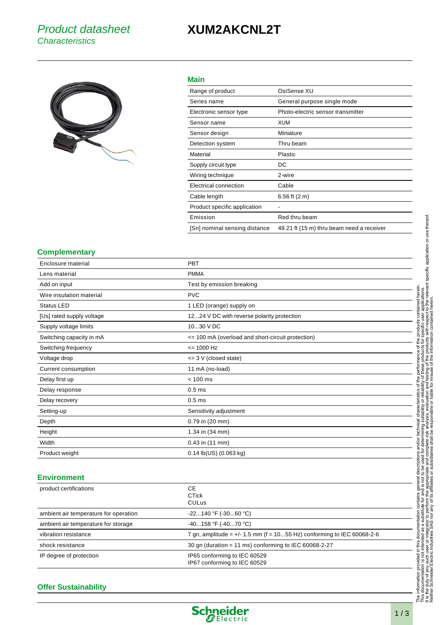## **XUM2AKCNL2T**



## **Main**

| Range of product              | OsiSense XU                               |
|-------------------------------|-------------------------------------------|
| Series name                   | General purpose single mode               |
| Electronic sensor type        | Photo-electric sensor transmitter         |
| Sensor name                   | XUM                                       |
| Sensor design                 | Miniature                                 |
| Detection system              | Thru beam                                 |
| Material                      | Plastic                                   |
| Supply circuit type           | DC                                        |
| Wiring technique              | 2-wire                                    |
| Electrical connection         | Cable                                     |
| Cable length                  | 6.56 ft $(2 m)$                           |
| Product specific application  | -                                         |
| Emission                      | Red thru beam                             |
| [Sn] nominal sensing distance | 49.21 ft (15 m) thru beam need a receiver |

#### **Complementary**

| Enclosure material        | <b>PBT</b>                                        |
|---------------------------|---------------------------------------------------|
| Lens material             | <b>PMMA</b>                                       |
| Add on input              | Test by emission breaking                         |
| Wire insulation material  | <b>PVC</b>                                        |
| <b>Status LED</b>         | 1 LED (orange) supply on                          |
| [Us] rated supply voltage | 1224 V DC with reverse polarity protection        |
| Supply voltage limits     | 1030 V DC                                         |
| Switching capacity in mA  | <= 100 mA (overload and short-circuit protection) |
| Switching frequency       | $= 1000 Hz$                                       |
| Voltage drop              | $\leq$ 3 V (closed state)                         |
| Current consumption       | 11 mA (no-load)                                   |
| Delay first up            | $< 100$ ms                                        |
| Delay response            | 0.5 <sub>ms</sub>                                 |
| Delay recovery            | 0.5 <sub>ms</sub>                                 |
| Setting-up                | Sensitivity adjustment                            |
| Depth                     | 0.79 in (20 mm)                                   |
| Height                    | 1.34 in (34 mm)                                   |
| Width                     | $0.43$ in $(11$ mm)                               |
| Product weight            | $0.14$ lb(US) $(0.063$ kg)                        |

### **Environment**

| product certifications                | CE.<br><b>CTick</b><br>CULus                                             |
|---------------------------------------|--------------------------------------------------------------------------|
| ambient air temperature for operation | $-22140$ °F ( $-3060$ °C)                                                |
| ambient air temperature for storage   | $-40158$ °F ( $-4070$ °C)                                                |
| vibration resistance                  | 7 gn, amplitude = $+/- 1.5$ mm (f = 1055 Hz) conforming to IEC 60068-2-6 |
| shock resistance                      | 30 gn (duration = 11 ms) conforming to IEC 60068-2-27                    |
| IP degree of protection               | IP65 conforming to IEC 60529<br>IP67 conforming to IEC 60529             |

### **Offer Sustainability**

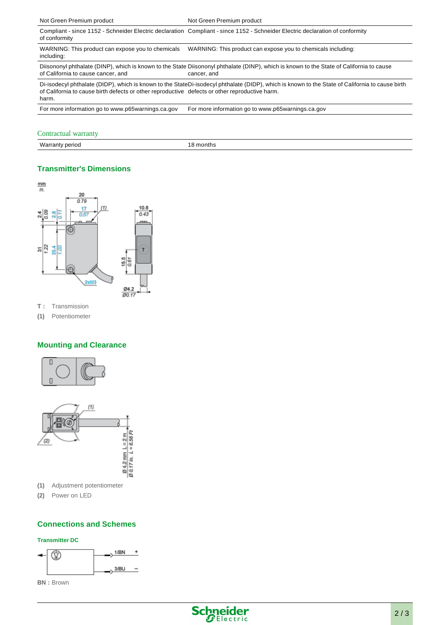| Not Green Premium product                                                                                                                                                                                                                                  | Not Green Premium product                                                                                                                               |  |
|------------------------------------------------------------------------------------------------------------------------------------------------------------------------------------------------------------------------------------------------------------|---------------------------------------------------------------------------------------------------------------------------------------------------------|--|
| of conformity                                                                                                                                                                                                                                              | Compliant - since 1152 - Schneider Electric declaration Compliant - since 1152 - Schneider Electric declaration of conformity                           |  |
| WARNING: This product can expose you to chemicals<br>including:                                                                                                                                                                                            | WARNING: This product can expose you to chemicals including:                                                                                            |  |
| of California to cause cancer, and                                                                                                                                                                                                                         | Diisononyl phthalate (DINP), which is known to the State Diisononyl phthalate (DINP), which is known to the State of California to cause<br>cancer, and |  |
| Di-isodecyl phthalate (DIDP), which is known to the StateDi-isodecyl phthalate (DIDP), which is known to the State of California to cause birth<br>of California to cause birth defects or other reproductive defects or other reproductive harm.<br>harm. |                                                                                                                                                         |  |
| For more information go to www.p65warnings.ca.gov                                                                                                                                                                                                          | For more information go to www.p65warnings.ca.gov                                                                                                       |  |

#### Contractual warranty

Warranty period 18 months

## **Transmitter's Dimensions**



**T :** Transmission

**(1)** Potentiometer

## **Mounting and Clearance**





- **(1)** Adjustment potentiometer
- **(2)** Power on LED

## **Connections and Schemes**

#### **Transmitter DC**



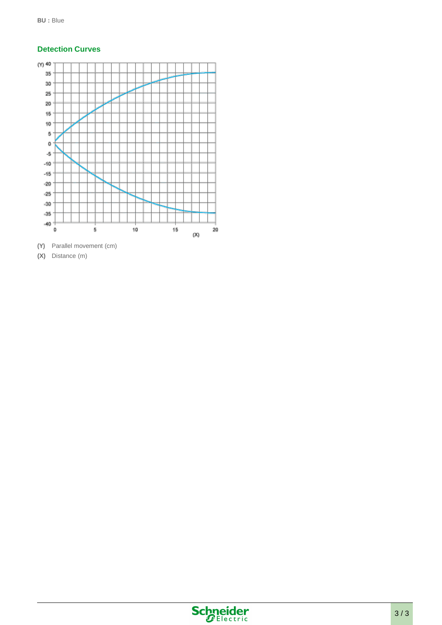## **Detection Curves**



**(X)** Distance (m)